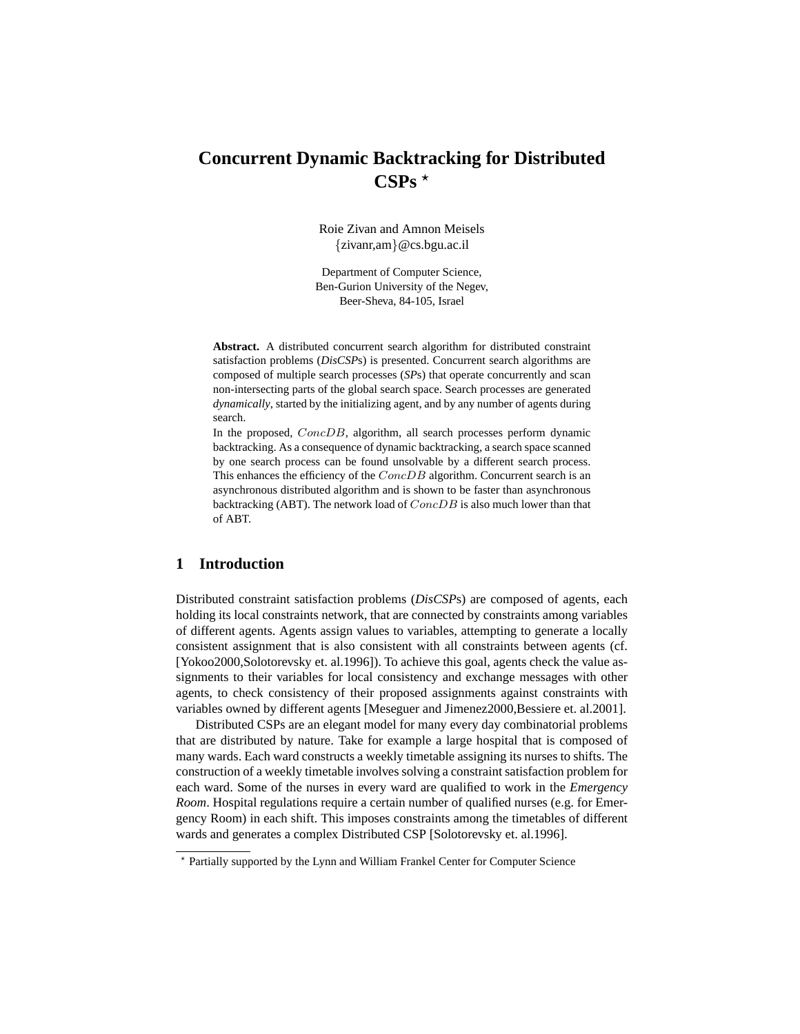# **Concurrent Dynamic Backtracking for Distributed CSPs** ?

Roie Zivan and Amnon Meisels {zivanr,am}@cs.bgu.ac.il

Department of Computer Science, Ben-Gurion University of the Negev, Beer-Sheva, 84-105, Israel

**Abstract.** A distributed concurrent search algorithm for distributed constraint satisfaction problems (*DisCSP*s) is presented. Concurrent search algorithms are composed of multiple search processes (*SP*s) that operate concurrently and scan non-intersecting parts of the global search space. Search processes are generated *dynamically*, started by the initializing agent, and by any number of agents during search.

In the proposed, ConcDB, algorithm, all search processes perform dynamic backtracking. As a consequence of dynamic backtracking, a search space scanned by one search process can be found unsolvable by a different search process. This enhances the efficiency of the ConcDB algorithm. Concurrent search is an asynchronous distributed algorithm and is shown to be faster than asynchronous backtracking (ABT). The network load of  $ConcDB$  is also much lower than that of ABT.

# **1 Introduction**

Distributed constraint satisfaction problems (*DisCSP*s) are composed of agents, each holding its local constraints network, that are connected by constraints among variables of different agents. Agents assign values to variables, attempting to generate a locally consistent assignment that is also consistent with all constraints between agents (cf. [Yokoo2000,Solotorevsky et. al.1996]). To achieve this goal, agents check the value assignments to their variables for local consistency and exchange messages with other agents, to check consistency of their proposed assignments against constraints with variables owned by different agents [Meseguer and Jimenez2000,Bessiere et. al.2001].

Distributed CSPs are an elegant model for many every day combinatorial problems that are distributed by nature. Take for example a large hospital that is composed of many wards. Each ward constructs a weekly timetable assigning its nurses to shifts. The construction of a weekly timetable involves solving a constraint satisfaction problem for each ward. Some of the nurses in every ward are qualified to work in the *Emergency Room*. Hospital regulations require a certain number of qualified nurses (e.g. for Emergency Room) in each shift. This imposes constraints among the timetables of different wards and generates a complex Distributed CSP [Solotorevsky et. al.1996].

<sup>?</sup> Partially supported by the Lynn and William Frankel Center for Computer Science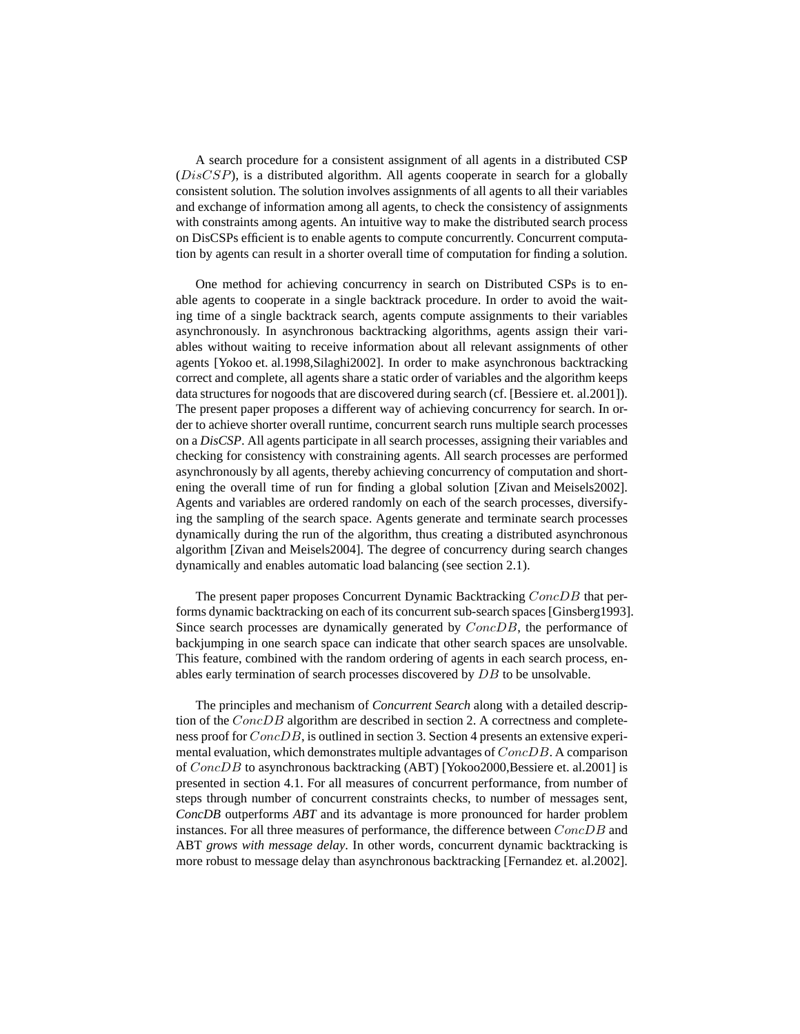A search procedure for a consistent assignment of all agents in a distributed CSP  $(DisCSP)$ , is a distributed algorithm. All agents cooperate in search for a globally consistent solution. The solution involves assignments of all agents to all their variables and exchange of information among all agents, to check the consistency of assignments with constraints among agents. An intuitive way to make the distributed search process on DisCSPs efficient is to enable agents to compute concurrently. Concurrent computation by agents can result in a shorter overall time of computation for finding a solution.

One method for achieving concurrency in search on Distributed CSPs is to enable agents to cooperate in a single backtrack procedure. In order to avoid the waiting time of a single backtrack search, agents compute assignments to their variables asynchronously. In asynchronous backtracking algorithms, agents assign their variables without waiting to receive information about all relevant assignments of other agents [Yokoo et. al.1998,Silaghi2002]. In order to make asynchronous backtracking correct and complete, all agents share a static order of variables and the algorithm keeps data structures for nogoods that are discovered during search (cf. [Bessiere et. al.2001]). The present paper proposes a different way of achieving concurrency for search. In order to achieve shorter overall runtime, concurrent search runs multiple search processes on a *DisCSP*. All agents participate in all search processes, assigning their variables and checking for consistency with constraining agents. All search processes are performed asynchronously by all agents, thereby achieving concurrency of computation and shortening the overall time of run for finding a global solution [Zivan and Meisels2002]. Agents and variables are ordered randomly on each of the search processes, diversifying the sampling of the search space. Agents generate and terminate search processes dynamically during the run of the algorithm, thus creating a distributed asynchronous algorithm [Zivan and Meisels2004]. The degree of concurrency during search changes dynamically and enables automatic load balancing (see section 2.1).

The present paper proposes Concurrent Dynamic Backtracking ConcDB that performs dynamic backtracking on each of its concurrent sub-search spaces [Ginsberg1993]. Since search processes are dynamically generated by ConcDB, the performance of backjumping in one search space can indicate that other search spaces are unsolvable. This feature, combined with the random ordering of agents in each search process, enables early termination of search processes discovered by DB to be unsolvable.

The principles and mechanism of *Concurrent Search* along with a detailed description of the  $ConcDB$  algorithm are described in section 2. A correctness and completeness proof for ConcDB, is outlined in section 3. Section 4 presents an extensive experimental evaluation, which demonstrates multiple advantages of  $ConcDB$ . A comparison of ConcDB to asynchronous backtracking (ABT) [Yokoo2000,Bessiere et. al.2001] is presented in section 4.1. For all measures of concurrent performance, from number of steps through number of concurrent constraints checks, to number of messages sent, *ConcDB* outperforms *ABT* and its advantage is more pronounced for harder problem instances. For all three measures of performance, the difference between ConcDB and ABT *grows with message delay*. In other words, concurrent dynamic backtracking is more robust to message delay than asynchronous backtracking [Fernandez et. al.2002].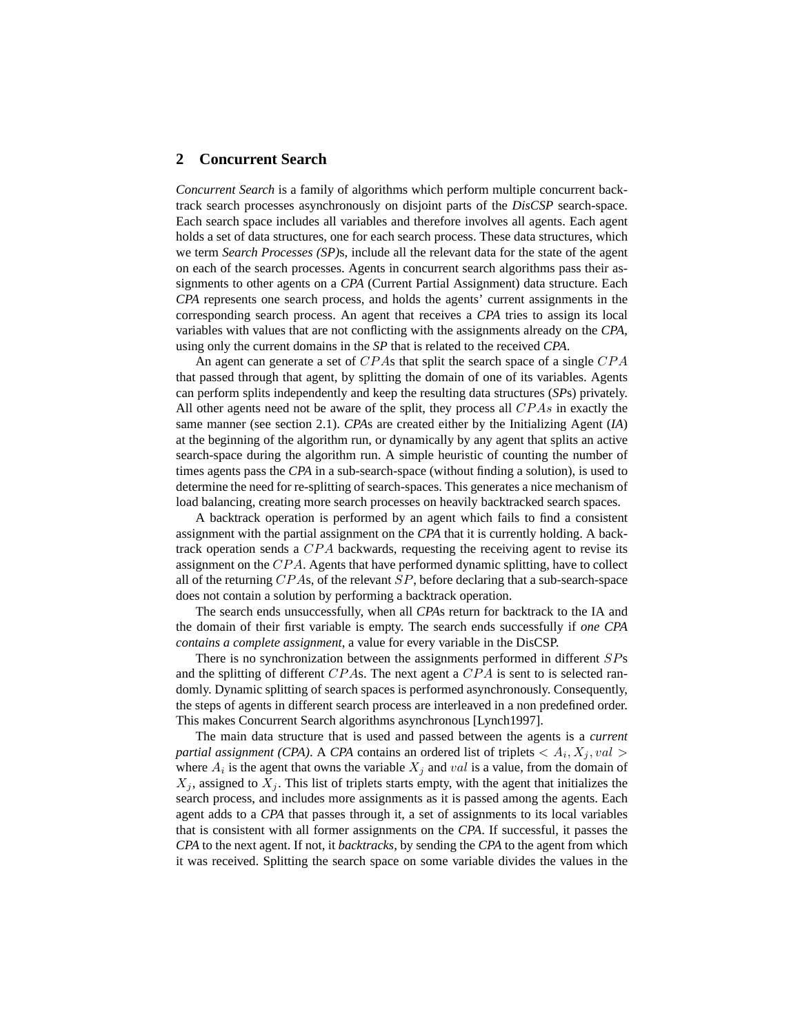# **2 Concurrent Search**

*Concurrent Search* is a family of algorithms which perform multiple concurrent backtrack search processes asynchronously on disjoint parts of the *DisCSP* search-space. Each search space includes all variables and therefore involves all agents. Each agent holds a set of data structures, one for each search process. These data structures, which we term *Search Processes (SP)*s, include all the relevant data for the state of the agent on each of the search processes. Agents in concurrent search algorithms pass their assignments to other agents on a *CPA* (Current Partial Assignment) data structure. Each *CPA* represents one search process, and holds the agents' current assignments in the corresponding search process. An agent that receives a *CPA* tries to assign its local variables with values that are not conflicting with the assignments already on the *CPA*, using only the current domains in the *SP* that is related to the received *CPA*.

An agent can generate a set of  $CPAs$  that split the search space of a single  $CPA$ that passed through that agent, by splitting the domain of one of its variables. Agents can perform splits independently and keep the resulting data structures (*SP*s) privately. All other agents need not be aware of the split, they process all  $CPAs$  in exactly the same manner (see section 2.1). *CPA*s are created either by the Initializing Agent (*IA*) at the beginning of the algorithm run, or dynamically by any agent that splits an active search-space during the algorithm run. A simple heuristic of counting the number of times agents pass the *CPA* in a sub-search-space (without finding a solution), is used to determine the need for re-splitting of search-spaces. This generates a nice mechanism of load balancing, creating more search processes on heavily backtracked search spaces.

A backtrack operation is performed by an agent which fails to find a consistent assignment with the partial assignment on the *CPA* that it is currently holding. A backtrack operation sends a  $CPA$  backwards, requesting the receiving agent to revise its assignment on the  $CPA$ . Agents that have performed dynamic splitting, have to collect all of the returning  $CPAs$ , of the relevant  $SP$ , before declaring that a sub-search-space does not contain a solution by performing a backtrack operation.

The search ends unsuccessfully, when all *CPA*s return for backtrack to the IA and the domain of their first variable is empty. The search ends successfully if *one CPA contains a complete assignment*, a value for every variable in the DisCSP.

There is no synchronization between the assignments performed in different SPs and the splitting of different  $CPAs$ . The next agent a  $CPA$  is sent to is selected randomly. Dynamic splitting of search spaces is performed asynchronously. Consequently, the steps of agents in different search process are interleaved in a non predefined order. This makes Concurrent Search algorithms asynchronous [Lynch1997].

The main data structure that is used and passed between the agents is a *current partial assignment (CPA)*. A *CPA* contains an ordered list of triplets  $\langle A_i, X_j, val \rangle$ where  $A_i$  is the agent that owns the variable  $X_j$  and val is a value, from the domain of  $X_i$ , assigned to  $X_i$ . This list of triplets starts empty, with the agent that initializes the search process, and includes more assignments as it is passed among the agents. Each agent adds to a *CPA* that passes through it, a set of assignments to its local variables that is consistent with all former assignments on the *CPA*. If successful, it passes the *CPA* to the next agent. If not, it *backtracks*, by sending the *CPA* to the agent from which it was received. Splitting the search space on some variable divides the values in the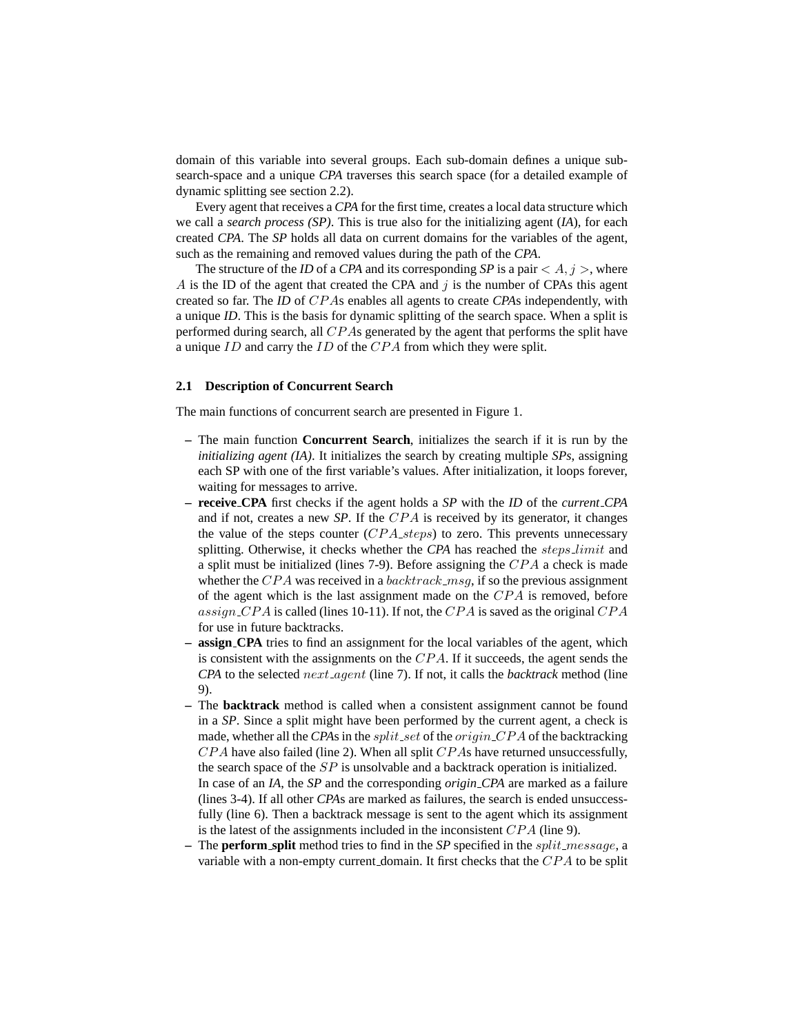domain of this variable into several groups. Each sub-domain defines a unique subsearch-space and a unique *CPA* traverses this search space (for a detailed example of dynamic splitting see section 2.2).

Every agent that receives a *CPA* for the first time, creates a local data structure which we call a *search process (SP)*. This is true also for the initializing agent (*IA*), for each created *CPA*. The *SP* holds all data on current domains for the variables of the agent, such as the remaining and removed values during the path of the *CPA*.

The structure of the *ID* of a *CPA* and its corresponding *SP* is a pair  $\langle A, j \rangle$ , where  $A$  is the ID of the agent that created the CPA and  $j$  is the number of CPAs this agent created so far. The *ID* of CP As enables all agents to create *CPA*s independently, with a unique *ID*. This is the basis for dynamic splitting of the search space. When a split is performed during search, all  $CPAs$  generated by the agent that performs the split have a unique  $ID$  and carry the  $ID$  of the  $CPA$  from which they were split.

# **2.1 Description of Concurrent Search**

The main functions of concurrent search are presented in Figure 1.

- **–** The main function **Concurrent Search**, initializes the search if it is run by the *initializing agent (IA)*. It initializes the search by creating multiple *SPs*, assigning each SP with one of the first variable's values. After initialization, it loops forever, waiting for messages to arrive.
- **receive CPA** first checks if the agent holds a *SP* with the *ID* of the *current CPA* and if not, creates a new *SP*. If the *CPA* is received by its generator, it changes the value of the steps counter  $CPA_{steps}$  to zero. This prevents unnecessary splitting. Otherwise, it checks whether the *CPA* has reached the steps limit and a split must be initialized (lines 7-9). Before assigning the  $CPA$  a check is made whether the  $CPA$  was received in a backtrack msg, if so the previous assignment of the agent which is the last assignment made on the  $CPA$  is removed, before assign CPA is called (lines 10-11). If not, the CPA is saved as the original CPA for use in future backtracks.
- **assign CPA** tries to find an assignment for the local variables of the agent, which is consistent with the assignments on the CPA. If it succeeds, the agent sends the *CPA* to the selected  $next\_agent$  (line 7). If not, it calls the *backtrack* method (line 9).
- **–** The **backtrack** method is called when a consistent assignment cannot be found in a *SP*. Since a split might have been performed by the current agent, a check is made, whether all the *CPA*s in the *split\_set* of the *origin\_CPA* of the backtracking  $CPA$  have also failed (line 2). When all split  $CPAs$  have returned unsuccessfully, the search space of the  $SP$  is unsolvable and a backtrack operation is initialized. In case of an *IA*, the *SP* and the corresponding *origin CPA* are marked as a failure (lines 3-4). If all other *CPA*s are marked as failures, the search is ended unsuccessfully (line 6). Then a backtrack message is sent to the agent which its assignment is the latest of the assignments included in the inconsistent  $CPA$  (line 9).
- **–** The **perform split** method tries to find in the *SP* specified in the split message, a variable with a non-empty current domain. It first checks that the  $CPA$  to be split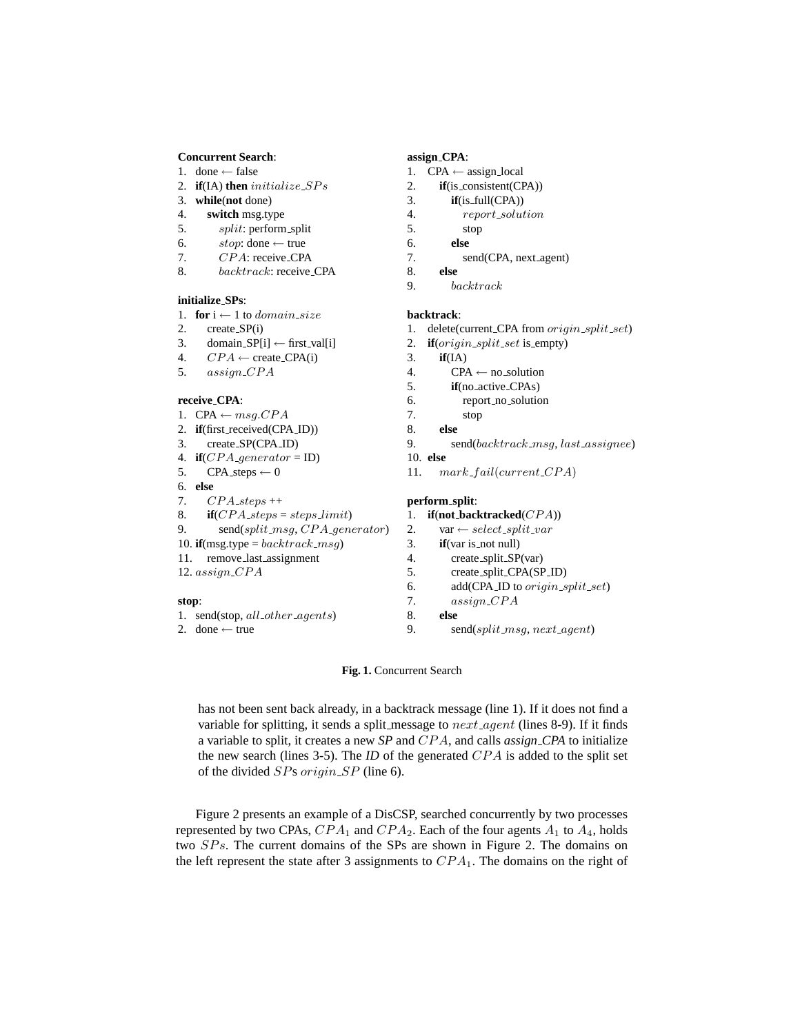#### **Concurrent Search**:

- 1. done  $\leftarrow$  false
- 2. **if**(IA) **then** *initialize\_SPs*
- 3. **while**(**not** done)
- 4. **switch** msg.type
- 5. split: perform split
- 6. stop: done ← true
- 7. CPA: receive\_CPA
- 8. backtrack: receive CPA

### **initialize SPs**:

- 1. **for**  $i \leftarrow 1$  to *domain\_size*
- 2. create SP(i)
- 3. domain  $SP[i] \leftarrow \text{first_val[i]}$
- 4.  $CPA \leftarrow \text{create\_CPA}(i)$
- 5. assign\_CPA

## **receive CPA**:

- 1. CPA  $\leftarrow msg.CPA$
- 2. **if**(first\_received(CPA\_ID))
- 3. create SP(CPA ID)
- 4. **if**( $CPA$ -generator = ID)
- 5.  $CPA\_steps \leftarrow 0$
- 6. **else**
- 7.  $CPA\_steps$  ++
- 8. **if**( $CPA\_steps = steps\_limit$ )
- 9. send(split\_msg, CPA\_generator)
- 10. **if**(msg.type =  $backtrack\_msg$ )
- 11. remove last assignment
- 12. assign\_CPA

### **stop**:

- 1. send(stop, all\_other\_agents)
- 2. done  $\leftarrow$  true

#### **assign CPA**:

- 1.  $CPA \leftarrow \text{assign\_local}$
- 2. **if**(is consistent(CPA))
- 3. **if**(is full(CPA))
- 4. report solution
- 5. stop
- 6. **else**
- 7. send(CPA, next\_agent)
- 8. **else**
- 9. backtrack

## **backtrack**:

- 1. delete(current\_CPA from origin\_split\_set)
- 2. **if**(*origin\_split\_set* is\_empty)
- 3. **if**(IA)
- 4.  $CPA \leftarrow no\_solution$
- 5. **if**(no active CPAs)
- 6. report no solution
- 
- 7. stop 8. **else**
- 9. send(backtrack\_msg, last\_assignee)
- 10. **else**
- 11. mark\_fail(current\_CPA)

#### **perform split**:

- 1. **if**(**not backtracked**(CP A))
- 2. var  $\leftarrow select\_split\_var$
- 3. **if**(var is not null)
- 4. create split SP(var)
- 5. create split CPA(SP ID)
- 6. add(CPA\_ID to  $origin\_split\_set)$
- 7. assign\_CPA
- 8. **else**
- 9. send(split\_msg, next\_agent)

### **Fig. 1.** Concurrent Search

has not been sent back already, in a backtrack message (line 1). If it does not find a variable for splitting, it sends a split\_message to  $next\_agent$  (lines 8-9). If it finds a variable to split, it creates a new *SP* and CP A, and calls *assign CPA* to initialize the new search (lines 3-5). The *ID* of the generated CP A is added to the split set of the divided SPs origin SP (line 6).

Figure 2 presents an example of a DisCSP, searched concurrently by two processes represented by two CPAs,  $CPA_1$  and  $CPA_2$ . Each of the four agents  $A_1$  to  $A_4$ , holds two  $SPs$ . The current domains of the SPs are shown in Figure 2. The domains on the left represent the state after 3 assignments to  $CPA<sub>1</sub>$ . The domains on the right of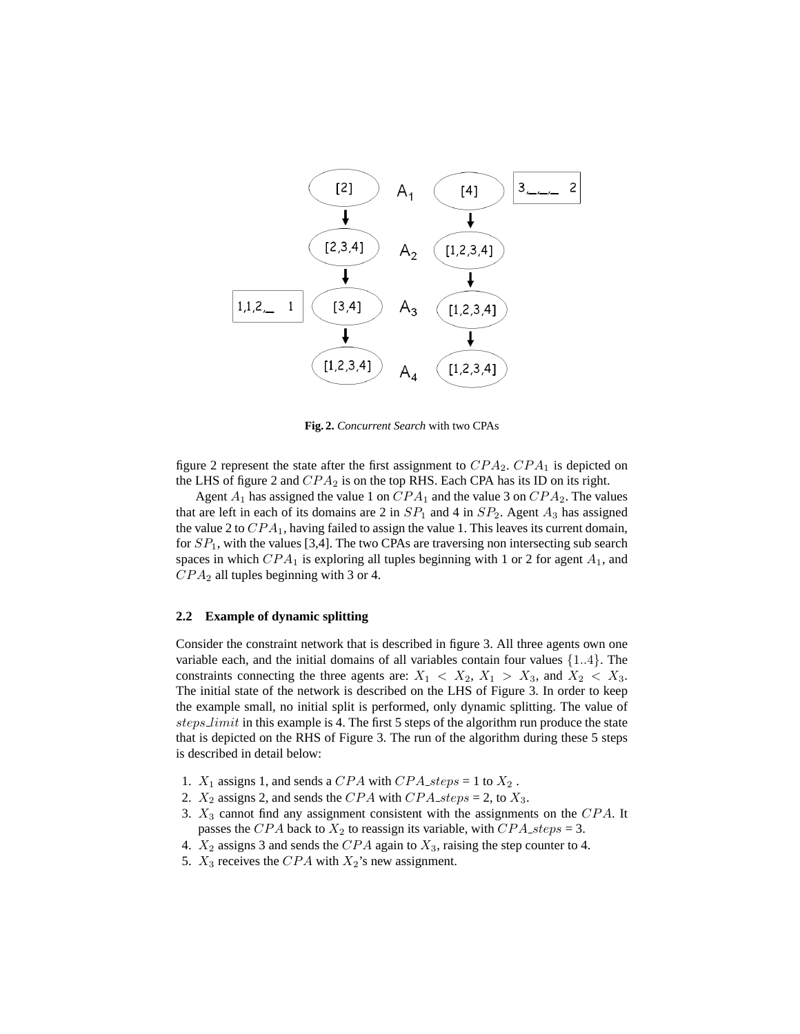

**Fig. 2.** *Concurrent Search* with two CPAs

figure 2 represent the state after the first assignment to  $CPA_2$ .  $CPA_1$  is depicted on the LHS of figure 2 and  $CPA_2$  is on the top RHS. Each CPA has its ID on its right.

Agent  $A_1$  has assigned the value 1 on  $CPA_1$  and the value 3 on  $CPA_2$ . The values that are left in each of its domains are 2 in  $SP_1$  and 4 in  $SP_2$ . Agent  $A_3$  has assigned the value 2 to  $CPA<sub>1</sub>$ , having failed to assign the value 1. This leaves its current domain, for  $SP<sub>1</sub>$ , with the values [3,4]. The two CPAs are traversing non intersecting sub search spaces in which  $CPA_1$  is exploring all tuples beginning with 1 or 2 for agent  $A_1$ , and  $CPA<sub>2</sub>$  all tuples beginning with 3 or 4.

### **2.2 Example of dynamic splitting**

Consider the constraint network that is described in figure 3. All three agents own one variable each, and the initial domains of all variables contain four values {1..4}. The constraints connecting the three agents are:  $X_1 \, < \, X_2, \, X_1 \, > \, X_3$ , and  $X_2 \, < \, X_3$ . The initial state of the network is described on the LHS of Figure 3. In order to keep the example small, no initial split is performed, only dynamic splitting. The value of steps limit in this example is 4. The first 5 steps of the algorithm run produce the state that is depicted on the RHS of Figure 3. The run of the algorithm during these 5 steps is described in detail below:

- 1.  $X_1$  assigns 1, and sends a CPA with CPA\_steps = 1 to  $X_2$ .
- 2.  $X_2$  assigns 2, and sends the CPA with CPA steps = 2, to  $X_3$ .
- 3.  $X_3$  cannot find any assignment consistent with the assignments on the  $CPA$ . It passes the CPA back to  $X_2$  to reassign its variable, with CPA steps = 3.
- 4.  $X_2$  assigns 3 and sends the CPA again to  $X_3$ , raising the step counter to 4.
- 5.  $X_3$  receives the CPA with  $X_2$ 's new assignment.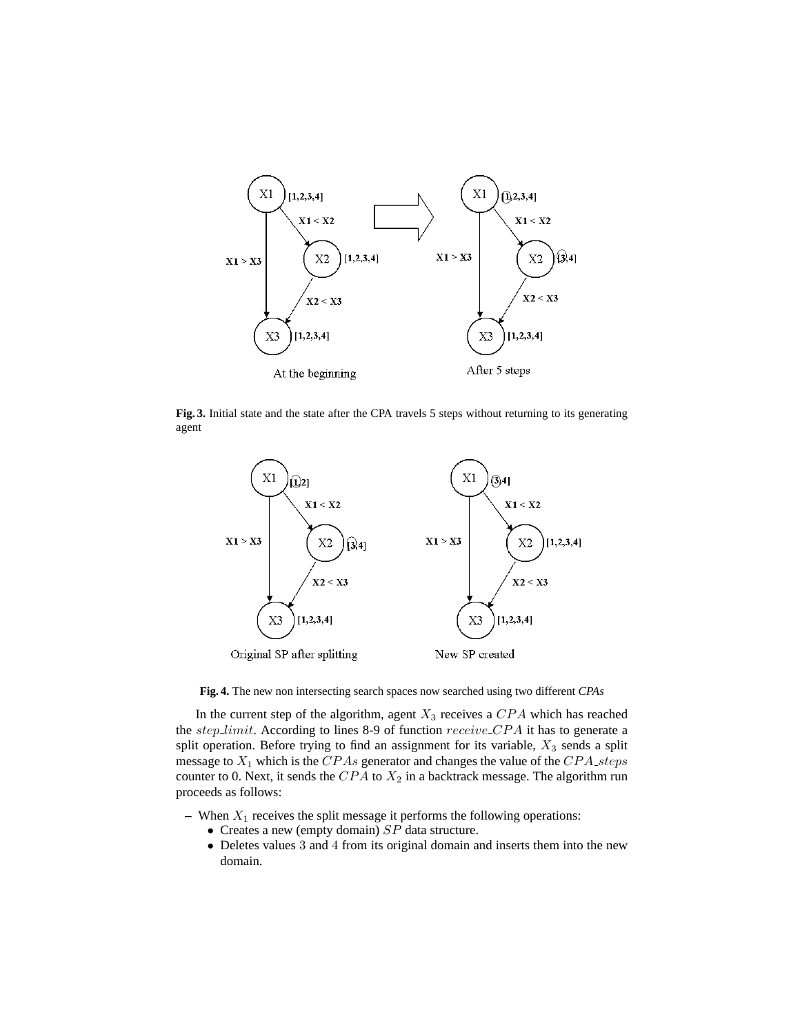

**Fig. 3.** Initial state and the state after the CPA travels 5 steps without returning to its generating agent



**Fig. 4.** The new non intersecting search spaces now searched using two different *CPAs*

In the current step of the algorithm, agent  $X_3$  receives a  $CPA$  which has reached the step\_limit. According to lines 8-9 of function  $receive\_CPA$  it has to generate a split operation. Before trying to find an assignment for its variable,  $X_3$  sends a split message to  $X_1$  which is the CPAs generator and changes the value of the CPA steps counter to 0. Next, it sends the  $CPA$  to  $X_2$  in a backtrack message. The algorithm run proceeds as follows:

- When  $X_1$  receives the split message it performs the following operations:
	- Creates a new (empty domain)  $SP$  data structure.
	- Deletes values 3 and 4 from its original domain and inserts them into the new domain.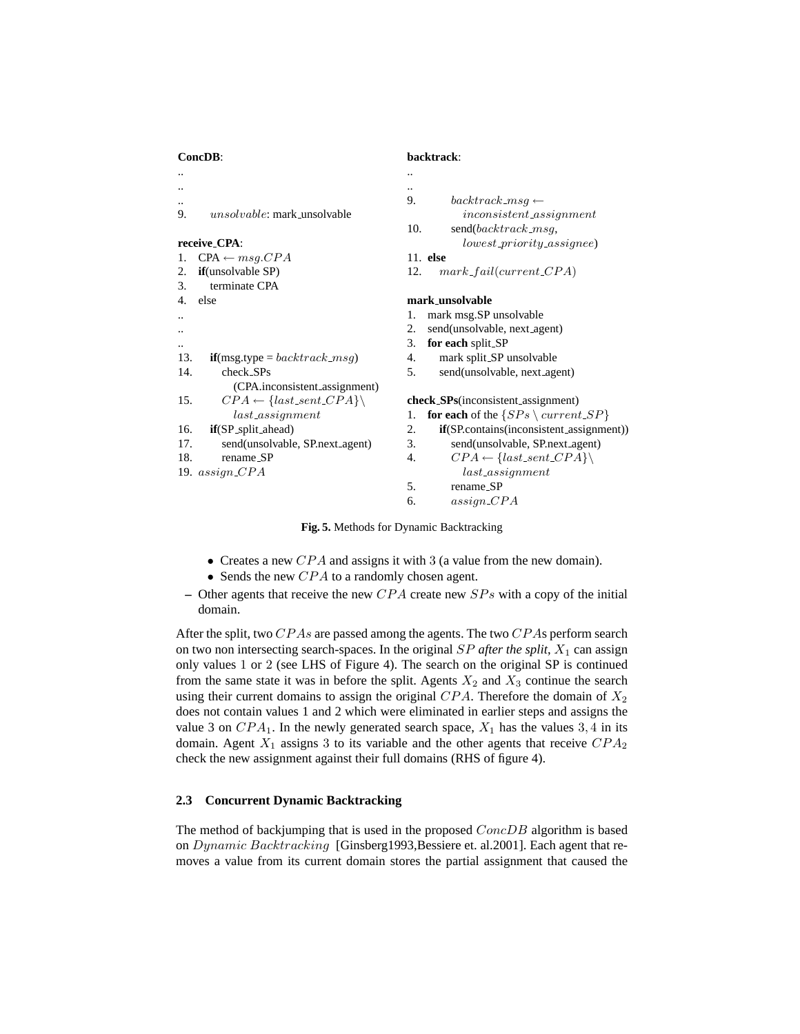#### **ConcDB**:

- .. .. ..
- 9. unsolvable: mark unsolvable

#### **receive CPA**:

- 1. CPA  $\leftarrow msg.CPA$
- 2. **if**(unsolvable SP)
- 3. terminate CPA
- 4. else
- ..
- ..
- .. 13. **if**(msg.type = backtrack\_msg)
- 14. check SPs
- (CPA.inconsistent assignment)
- 15.  $CPA \leftarrow \{last\_sent\_CPA\} \setminus$ last assignment
- 16. **if**(SP\_split\_ahead)
- 17. send(unsolvable, SP.next agent)
- 18. rename SP
- 19. assign\_CPA

#### **backtrack**:

- .. ..
- 9. backtrack\_msg  $\leftarrow$ inconsistent assignment
- 10. send $\left( \text{backtrack\_msg} , \right.$ 
	- lowest priority assignee)
- 11. **else**
- 12. mark\_fail(current\_CPA)

### **mark unsolvable**

- 1. mark msg.SP unsolvable
- 2. send(unsolvable, next agent)
- 3. **for each** split SP
- 4. mark split SP unsolvable
- 5. send(unsolvable, next agent)

### **check SPs**(inconsistent assignment)

- 1. **for each** of the  $\{SPs \setminus current\_SP\}$
- 2. **if**(SP.contains(inconsistent assignment))
- 3. send(unsolvable, SP.next agent)
- 4.  $CPA \leftarrow \{last\_sent\_CPA\} \setminus$
- last assignment
- 5. rename SP
- 6. assign CP A

#### **Fig. 5.** Methods for Dynamic Backtracking

- Creates a new  $CPA$  and assigns it with 3 (a value from the new domain).
- Sends the new  $CPA$  to a randomly chosen agent.
- $-$  Other agents that receive the new  $CPA$  create new  $SPs$  with a copy of the initial domain.

After the split, two  $CPAs$  are passed among the agents. The two  $CPAs$  perform search on two non intersecting search-spaces. In the original  $SP$  *after the split,*  $X_1$  can assign only values 1 or 2 (see LHS of Figure 4). The search on the original SP is continued from the same state it was in before the split. Agents  $X_2$  and  $X_3$  continue the search using their current domains to assign the original  $CPA$ . Therefore the domain of  $X_2$ does not contain values 1 and 2 which were eliminated in earlier steps and assigns the value 3 on  $CPA_1$ . In the newly generated search space,  $X_1$  has the values 3, 4 in its domain. Agent  $X_1$  assigns 3 to its variable and the other agents that receive  $CPA_2$ check the new assignment against their full domains (RHS of figure 4).

# **2.3 Concurrent Dynamic Backtracking**

The method of backjumping that is used in the proposed  $ConcDB$  algorithm is based on Dynamic Backtracking [Ginsberg1993, Bessiere et. al.2001]. Each agent that removes a value from its current domain stores the partial assignment that caused the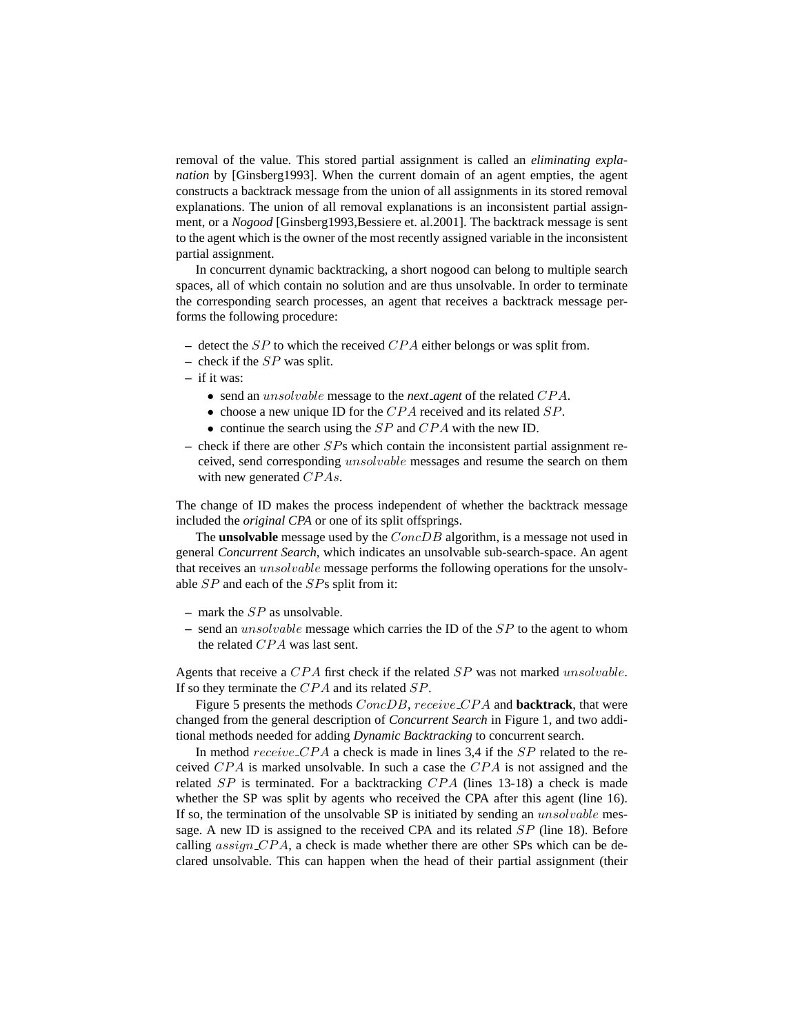removal of the value. This stored partial assignment is called an *eliminating explanation* by [Ginsberg1993]. When the current domain of an agent empties, the agent constructs a backtrack message from the union of all assignments in its stored removal explanations. The union of all removal explanations is an inconsistent partial assignment, or a *Nogood* [Ginsberg1993,Bessiere et. al.2001]. The backtrack message is sent to the agent which is the owner of the most recently assigned variable in the inconsistent partial assignment.

In concurrent dynamic backtracking, a short nogood can belong to multiple search spaces, all of which contain no solution and are thus unsolvable. In order to terminate the corresponding search processes, an agent that receives a backtrack message performs the following procedure:

- **–** detect the SP to which the received CP A either belongs or was split from.
- **–** check if the SP was split.
- **–** if it was:
	- send an unsolvable message to the *next agent* of the related CP A.
	- choose a new unique ID for the  $CPA$  received and its related  $SP$ .
	- continue the search using the  $SP$  and  $CPA$  with the new ID.
- **–** check if there are other SPs which contain the inconsistent partial assignment received, send corresponding unsolvable messages and resume the search on them with new generated  $CPAs$ .

The change of ID makes the process independent of whether the backtrack message included the *original CPA* or one of its split offsprings.

The **unsolvable** message used by the *ConcDB* algorithm, is a message not used in general *Concurrent Search*, which indicates an unsolvable sub-search-space. An agent that receives an *unsolvable* message performs the following operations for the unsolvable  $SP$  and each of the  $SPs$  split from it:

- **–** mark the SP as unsolvable.
- **–** send an unsolvable message which carries the ID of the SP to the agent to whom the related  $CPA$  was last sent.

Agents that receive a  $CPA$  first check if the related  $SP$  was not marked unsolvable. If so they terminate the  $CPA$  and its related  $SP$ .

Figure 5 presents the methods ConcDB, receive CP A and **backtrack**, that were changed from the general description of *Concurrent Search* in Figure 1, and two additional methods needed for adding *Dynamic Backtracking* to concurrent search.

In method  $receive\_CPA$  a check is made in lines 3.4 if the SP related to the received  $CPA$  is marked unsolvable. In such a case the  $CPA$  is not assigned and the related  $SP$  is terminated. For a backtracking  $CPA$  (lines 13-18) a check is made whether the SP was split by agents who received the CPA after this agent (line 16). If so, the termination of the unsolvable SP is initiated by sending an *unsolvable* message. A new ID is assigned to the received CPA and its related SP (line 18). Before calling  $assign\_CPA$ , a check is made whether there are other SPs which can be declared unsolvable. This can happen when the head of their partial assignment (their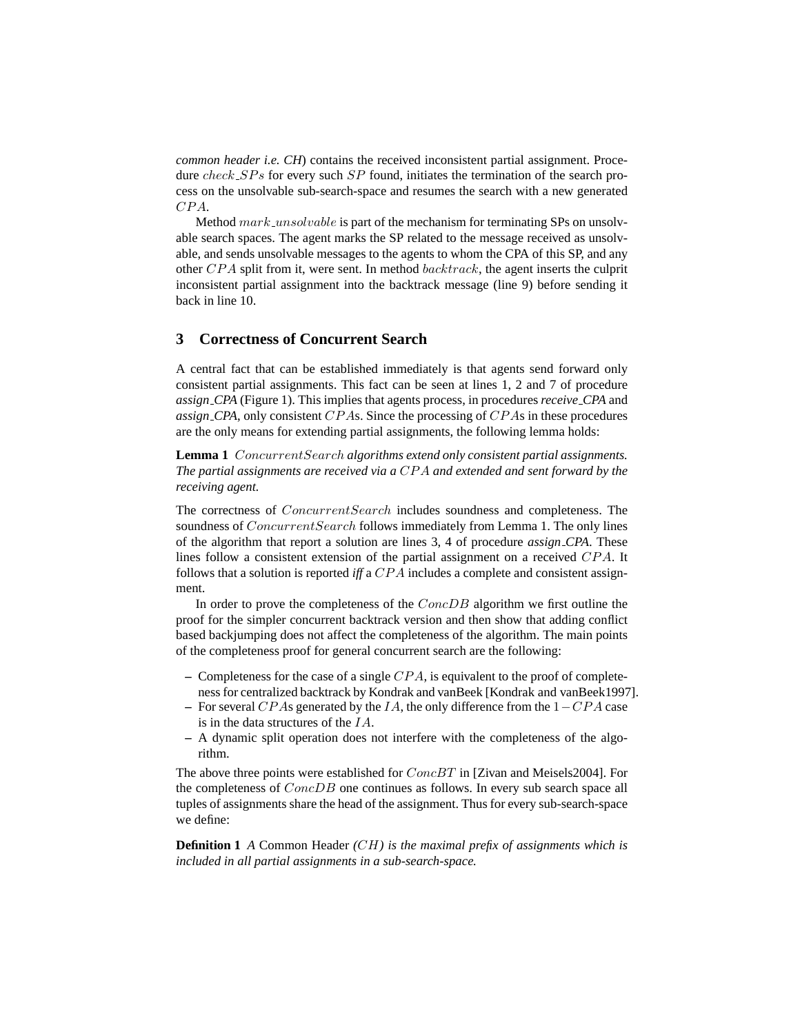*common header i.e. CH*) contains the received inconsistent partial assignment. Procedure check  $SPs$  for every such  $SP$  found, initiates the termination of the search process on the unsolvable sub-search-space and resumes the search with a new generated CP A.

Method  $mark\_unsolvable$  is part of the mechanism for terminating SPs on unsolvable search spaces. The agent marks the SP related to the message received as unsolvable, and sends unsolvable messages to the agents to whom the CPA of this SP, and any other  $CPA$  split from it, were sent. In method backtrack, the agent inserts the culprit inconsistent partial assignment into the backtrack message (line 9) before sending it back in line 10.

# **3 Correctness of Concurrent Search**

A central fact that can be established immediately is that agents send forward only consistent partial assignments. This fact can be seen at lines 1, 2 and 7 of procedure *assign CPA* (Figure 1). This implies that agents process, in procedures *receive CPA* and *assign CPA*, only consistent CP As. Since the processing of CP As in these procedures are the only means for extending partial assignments, the following lemma holds:

**Lemma 1** ConcurrentSearch *algorithms extend only consistent partial assignments. The partial assignments are received via a* CP A *and extended and sent forward by the receiving agent.*

The correctness of ConcurrentSearch includes soundness and completeness. The soundness of *ConcurrentSearch* follows immediately from Lemma 1. The only lines of the algorithm that report a solution are lines 3, 4 of procedure *assign CPA*. These lines follow a consistent extension of the partial assignment on a received  $CPA$ . It follows that a solution is reported *iff* a CP A includes a complete and consistent assignment.

In order to prove the completeness of the  $ConcDB$  algorithm we first outline the proof for the simpler concurrent backtrack version and then show that adding conflict based backjumping does not affect the completeness of the algorithm. The main points of the completeness proof for general concurrent search are the following:

- **–** Completeness for the case of a single CP A, is equivalent to the proof of completeness for centralized backtrack by Kondrak and vanBeek [Kondrak and vanBeek1997].
- **–** For several CP As generated by the IA, the only difference from the 1−CP A case is in the data structures of the IA.
- **–** A dynamic split operation does not interfere with the completeness of the algorithm.

The above three points were established for ConcBT in [Zivan and Meisels2004]. For the completeness of  $ConcDB$  one continues as follows. In every sub search space all tuples of assignments share the head of the assignment. Thus for every sub-search-space we define:

**Definition 1** *A* Common Header *(*CH*) is the maximal prefix of assignments which is included in all partial assignments in a sub-search-space.*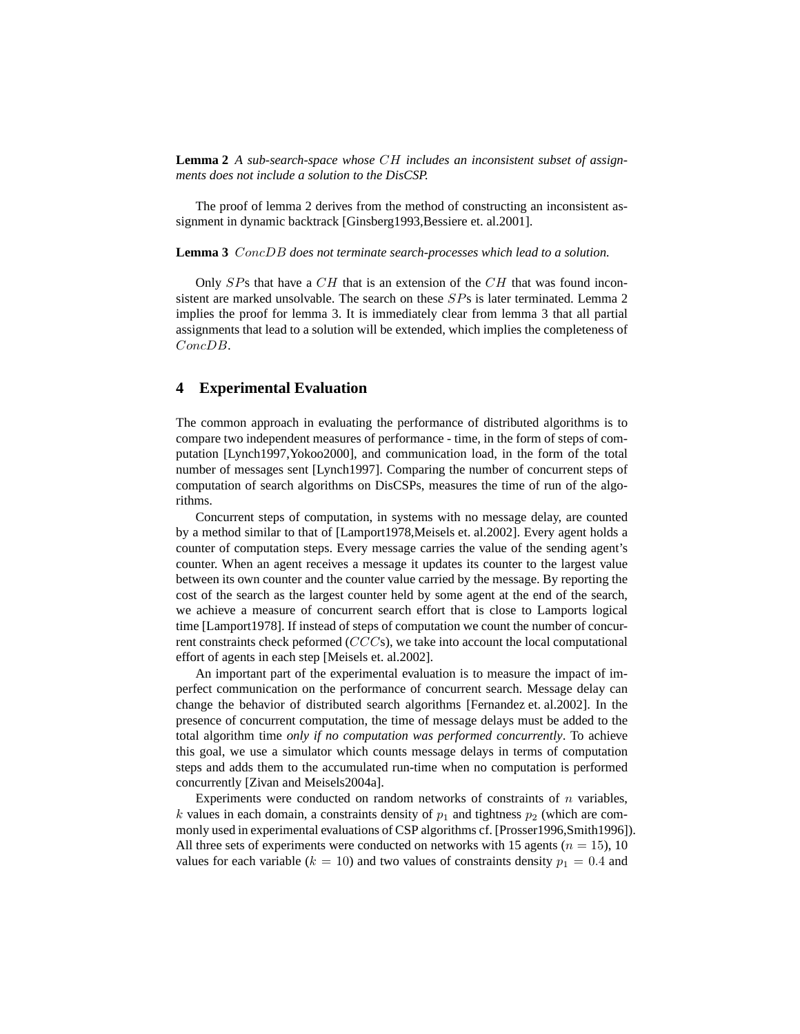**Lemma 2** *A sub-search-space whose* CH *includes an inconsistent subset of assignments does not include a solution to the DisCSP.*

The proof of lemma 2 derives from the method of constructing an inconsistent assignment in dynamic backtrack [Ginsberg1993,Bessiere et. al.2001].

### **Lemma 3** ConcDB *does not terminate search-processes which lead to a solution.*

Only  $SPs$  that have a  $CH$  that is an extension of the  $CH$  that was found inconsistent are marked unsolvable. The search on these SPs is later terminated. Lemma 2 implies the proof for lemma 3. It is immediately clear from lemma 3 that all partial assignments that lead to a solution will be extended, which implies the completeness of ConcDB.

# **4 Experimental Evaluation**

The common approach in evaluating the performance of distributed algorithms is to compare two independent measures of performance - time, in the form of steps of computation [Lynch1997,Yokoo2000], and communication load, in the form of the total number of messages sent [Lynch1997]. Comparing the number of concurrent steps of computation of search algorithms on DisCSPs, measures the time of run of the algorithms.

Concurrent steps of computation, in systems with no message delay, are counted by a method similar to that of [Lamport1978,Meisels et. al.2002]. Every agent holds a counter of computation steps. Every message carries the value of the sending agent's counter. When an agent receives a message it updates its counter to the largest value between its own counter and the counter value carried by the message. By reporting the cost of the search as the largest counter held by some agent at the end of the search, we achieve a measure of concurrent search effort that is close to Lamports logical time [Lamport1978]. If instead of steps of computation we count the number of concurrent constraints check peformed  $(CCCs)$ , we take into account the local computational effort of agents in each step [Meisels et. al.2002].

An important part of the experimental evaluation is to measure the impact of imperfect communication on the performance of concurrent search. Message delay can change the behavior of distributed search algorithms [Fernandez et. al.2002]. In the presence of concurrent computation, the time of message delays must be added to the total algorithm time *only if no computation was performed concurrently*. To achieve this goal, we use a simulator which counts message delays in terms of computation steps and adds them to the accumulated run-time when no computation is performed concurrently [Zivan and Meisels2004a].

Experiments were conducted on random networks of constraints of  $n$  variables, k values in each domain, a constraints density of  $p_1$  and tightness  $p_2$  (which are commonly used in experimental evaluations of CSP algorithms cf. [Prosser1996,Smith1996]). All three sets of experiments were conducted on networks with 15 agents ( $n = 15$ ), 10 values for each variable ( $k = 10$ ) and two values of constraints density  $p_1 = 0.4$  and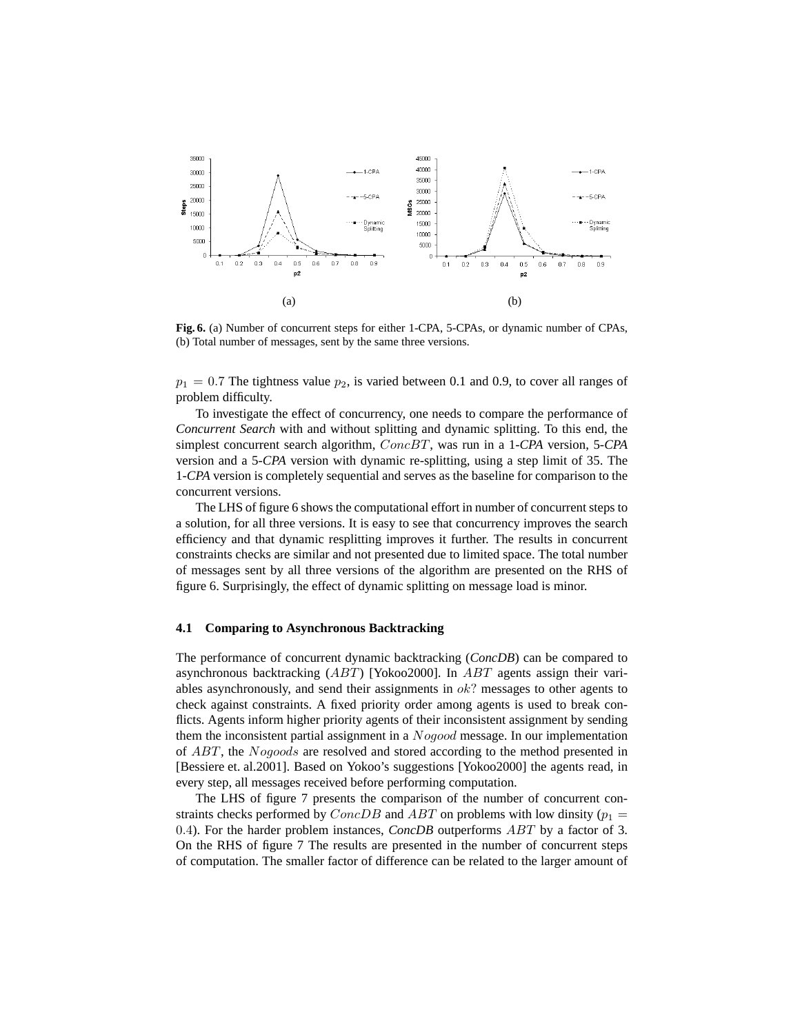

**Fig. 6.** (a) Number of concurrent steps for either 1-CPA, 5-CPAs, or dynamic number of CPAs, (b) Total number of messages, sent by the same three versions.

 $p_1 = 0.7$  The tightness value  $p_2$ , is varied between 0.1 and 0.9, to cover all ranges of problem difficulty.

To investigate the effect of concurrency, one needs to compare the performance of *Concurrent Search* with and without splitting and dynamic splitting. To this end, the simplest concurrent search algorithm, ConcBT, was run in a 1-*CPA* version, 5-*CPA* version and a 5-*CPA* version with dynamic re-splitting, using a step limit of 35. The 1-*CPA* version is completely sequential and serves as the baseline for comparison to the concurrent versions.

The LHS of figure 6 shows the computational effort in number of concurrent steps to a solution, for all three versions. It is easy to see that concurrency improves the search efficiency and that dynamic resplitting improves it further. The results in concurrent constraints checks are similar and not presented due to limited space. The total number of messages sent by all three versions of the algorithm are presented on the RHS of figure 6. Surprisingly, the effect of dynamic splitting on message load is minor.

# **4.1 Comparing to Asynchronous Backtracking**

The performance of concurrent dynamic backtracking (*ConcDB*) can be compared to asynchronous backtracking (ABT) [Yokoo2000]. In ABT agents assign their variables asynchronously, and send their assignments in  $ok$ ? messages to other agents to check against constraints. A fixed priority order among agents is used to break conflicts. Agents inform higher priority agents of their inconsistent assignment by sending them the inconsistent partial assignment in a Nogood message. In our implementation of ABT, the Nogoods are resolved and stored according to the method presented in [Bessiere et. al.2001]. Based on Yokoo's suggestions [Yokoo2000] the agents read, in every step, all messages received before performing computation.

The LHS of figure 7 presents the comparison of the number of concurrent constraints checks performed by  $ConcDB$  and  $ABT$  on problems with low dinsity ( $p_1 =$ 0.4). For the harder problem instances, *ConcDB* outperforms ABT by a factor of 3. On the RHS of figure 7 The results are presented in the number of concurrent steps of computation. The smaller factor of difference can be related to the larger amount of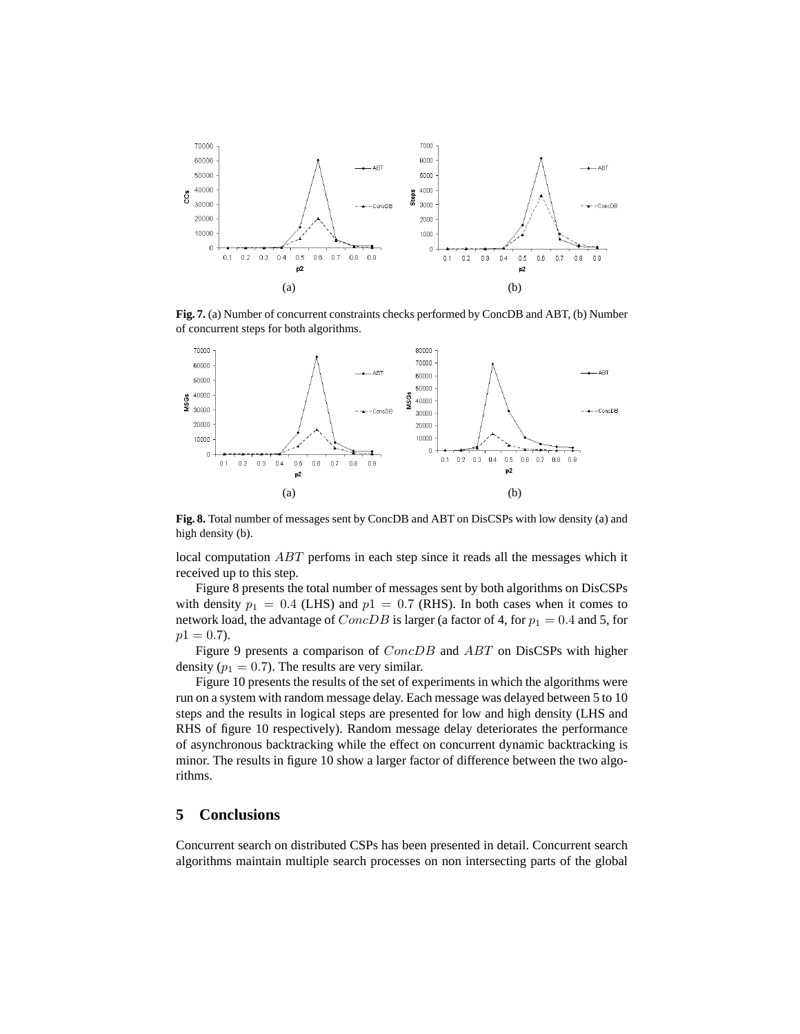

**Fig. 7.** (a) Number of concurrent constraints checks performed by ConcDB and ABT, (b) Number of concurrent steps for both algorithms.



**Fig. 8.** Total number of messages sent by ConcDB and ABT on DisCSPs with low density (a) and high density (b).

local computation ABT perfoms in each step since it reads all the messages which it received up to this step.

Figure 8 presents the total number of messages sent by both algorithms on DisCSPs with density  $p_1 = 0.4$  (LHS) and  $p_1 = 0.7$  (RHS). In both cases when it comes to network load, the advantage of  $ConcDB$  is larger (a factor of 4, for  $p_1 = 0.4$  and 5, for  $p1 = 0.7$ ).

Figure 9 presents a comparison of ConcDB and ABT on DisCSPs with higher density ( $p_1 = 0.7$ ). The results are very similar.

Figure 10 presents the results of the set of experiments in which the algorithms were run on a system with random message delay. Each message was delayed between 5 to 10 steps and the results in logical steps are presented for low and high density (LHS and RHS of figure 10 respectively). Random message delay deteriorates the performance of asynchronous backtracking while the effect on concurrent dynamic backtracking is minor. The results in figure 10 show a larger factor of difference between the two algorithms.

# **5 Conclusions**

Concurrent search on distributed CSPs has been presented in detail. Concurrent search algorithms maintain multiple search processes on non intersecting parts of the global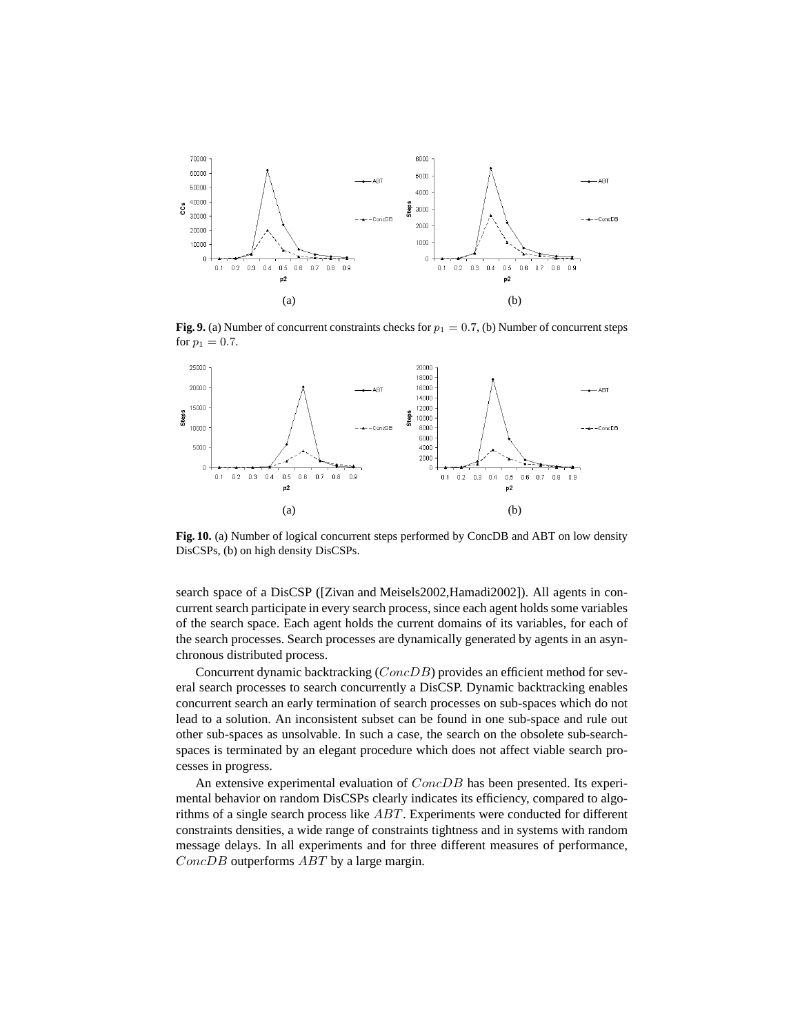

**Fig. 9.** (a) Number of concurrent constraints checks for  $p_1 = 0.7$ , (b) Number of concurrent steps for  $p_1 = 0.7$ .



**Fig. 10.** (a) Number of logical concurrent steps performed by ConcDB and ABT on low density DisCSPs, (b) on high density DisCSPs.

search space of a DisCSP ([Zivan and Meisels2002,Hamadi2002]). All agents in concurrent search participate in every search process, since each agent holds some variables of the search space. Each agent holds the current domains of its variables, for each of the search processes. Search processes are dynamically generated by agents in an asynchronous distributed process.

Concurrent dynamic backtracking (ConcDB) provides an efficient method for several search processes to search concurrently a DisCSP. Dynamic backtracking enables concurrent search an early termination of search processes on sub-spaces which do not lead to a solution. An inconsistent subset can be found in one sub-space and rule out other sub-spaces as unsolvable. In such a case, the search on the obsolete sub-searchspaces is terminated by an elegant procedure which does not affect viable search processes in progress.

An extensive experimental evaluation of ConcDB has been presented. Its experimental behavior on random DisCSPs clearly indicates its efficiency, compared to algorithms of a single search process like ABT. Experiments were conducted for different constraints densities, a wide range of constraints tightness and in systems with random message delays. In all experiments and for three different measures of performance, ConcDB outperforms ABT by a large margin.